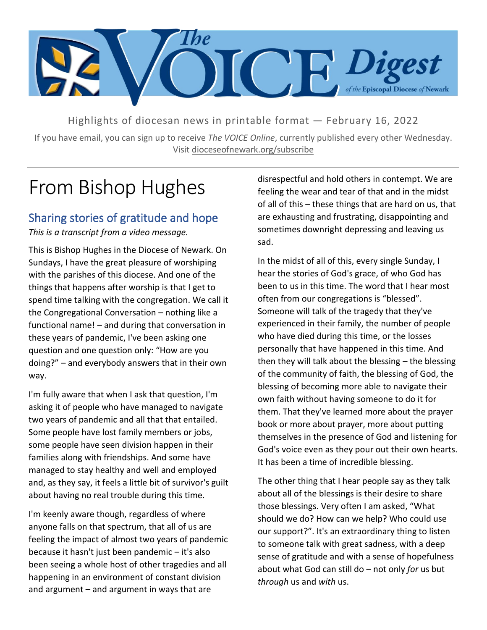

Highlights of diocesan news in printable format — February 16, 2022

If you have email, you can sign up to receive *The VOICE Online*, currently published every other Wednesday. Visit dioceseofnewark.org/subscribe

# From Bishop Hughes

### Sharing stories of gratitude and hope

*This is a transcript from a video message.*

This is Bishop Hughes in the Diocese of Newark. On Sundays, I have the great pleasure of worshiping with the parishes of this diocese. And one of the things that happens after worship is that I get to spend time talking with the congregation. We call it the Congregational Conversation – nothing like a functional name! – and during that conversation in these years of pandemic, I've been asking one question and one question only: "How are you doing?" – and everybody answers that in their own way.

I'm fully aware that when I ask that question, I'm asking it of people who have managed to navigate two years of pandemic and all that that entailed. Some people have lost family members or jobs, some people have seen division happen in their families along with friendships. And some have managed to stay healthy and well and employed and, as they say, it feels a little bit of survivor's guilt about having no real trouble during this time.

I'm keenly aware though, regardless of where anyone falls on that spectrum, that all of us are feeling the impact of almost two years of pandemic because it hasn't just been pandemic – it's also been seeing a whole host of other tragedies and all happening in an environment of constant division and argument – and argument in ways that are

disrespectful and hold others in contempt. We are feeling the wear and tear of that and in the midst of all of this – these things that are hard on us, that are exhausting and frustrating, disappointing and sometimes downright depressing and leaving us sad.

In the midst of all of this, every single Sunday, I hear the stories of God's grace, of who God has been to us in this time. The word that I hear most often from our congregations is "blessed". Someone will talk of the tragedy that they've experienced in their family, the number of people who have died during this time, or the losses personally that have happened in this time. And then they will talk about the blessing – the blessing of the community of faith, the blessing of God, the blessing of becoming more able to navigate their own faith without having someone to do it for them. That they've learned more about the prayer book or more about prayer, more about putting themselves in the presence of God and listening for God's voice even as they pour out their own hearts. It has been a time of incredible blessing.

The other thing that I hear people say as they talk about all of the blessings is their desire to share those blessings. Very often I am asked, "What should we do? How can we help? Who could use our support?". It's an extraordinary thing to listen to someone talk with great sadness, with a deep sense of gratitude and with a sense of hopefulness about what God can still do – not only *for* us but *through* us and *with* us.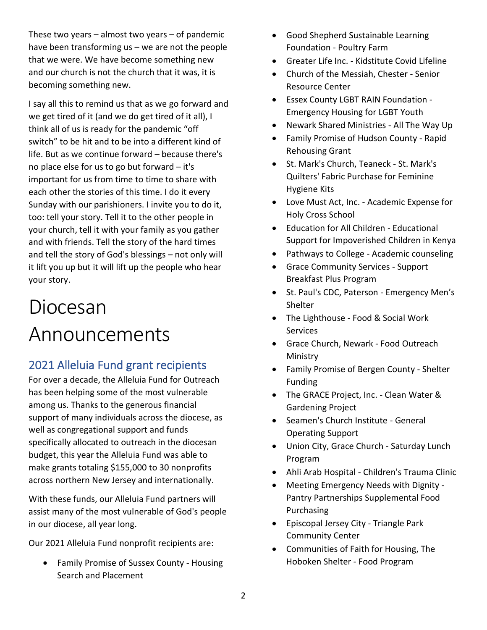These two years – almost two years – of pandemic have been transforming us – we are not the people that we were. We have become something new and our church is not the church that it was, it is becoming something new.

I say all this to remind us that as we go forward and we get tired of it (and we do get tired of it all), I think all of us is ready for the pandemic "off switch" to be hit and to be into a different kind of life. But as we continue forward – because there's no place else for us to go but forward – it's important for us from time to time to share with each other the stories of this time. I do it every Sunday with our parishioners. I invite you to do it, too: tell your story. Tell it to the other people in your church, tell it with your family as you gather and with friends. Tell the story of the hard times and tell the story of God's blessings – not only will it lift you up but it will lift up the people who hear your story.

# Diocesan Announcements

## 2021 Alleluia Fund grant recipients

For over a decade, the Alleluia Fund for Outreach has been helping some of the most vulnerable among us. Thanks to the generous financial support of many individuals across the diocese, as well as congregational support and funds specifically allocated to outreach in the diocesan budget, this year the Alleluia Fund was able to make grants totaling \$155,000 to 30 nonprofits across northern New Jersey and internationally.

With these funds, our Alleluia Fund partners will assist many of the most vulnerable of God's people in our diocese, all year long.

Our 2021 Alleluia Fund nonprofit recipients are:

• Family Promise of Sussex County - Housing Search and Placement

- Good Shepherd Sustainable Learning Foundation - Poultry Farm
- Greater Life Inc. Kidstitute Covid Lifeline
- Church of the Messiah, Chester Senior Resource Center
- Essex County LGBT RAIN Foundation Emergency Housing for LGBT Youth
- Newark Shared Ministries All The Way Up
- Family Promise of Hudson County Rapid Rehousing Grant
- St. Mark's Church, Teaneck St. Mark's Quilters' Fabric Purchase for Feminine Hygiene Kits
- Love Must Act, Inc. Academic Expense for Holy Cross School
- Education for All Children Educational Support for Impoverished Children in Kenya
- Pathways to College Academic counseling
- Grace Community Services Support Breakfast Plus Program
- St. Paul's CDC, Paterson Emergency Men's **Shelter**
- The Lighthouse Food & Social Work Services
- Grace Church, Newark Food Outreach Ministry
- Family Promise of Bergen County Shelter Funding
- The GRACE Project, Inc. Clean Water & Gardening Project
- Seamen's Church Institute General Operating Support
- Union City, Grace Church Saturday Lunch Program
- Ahli Arab Hospital Children's Trauma Clinic
- Meeting Emergency Needs with Dignity Pantry Partnerships Supplemental Food Purchasing
- Episcopal Jersey City Triangle Park Community Center
- Communities of Faith for Housing, The Hoboken Shelter - Food Program